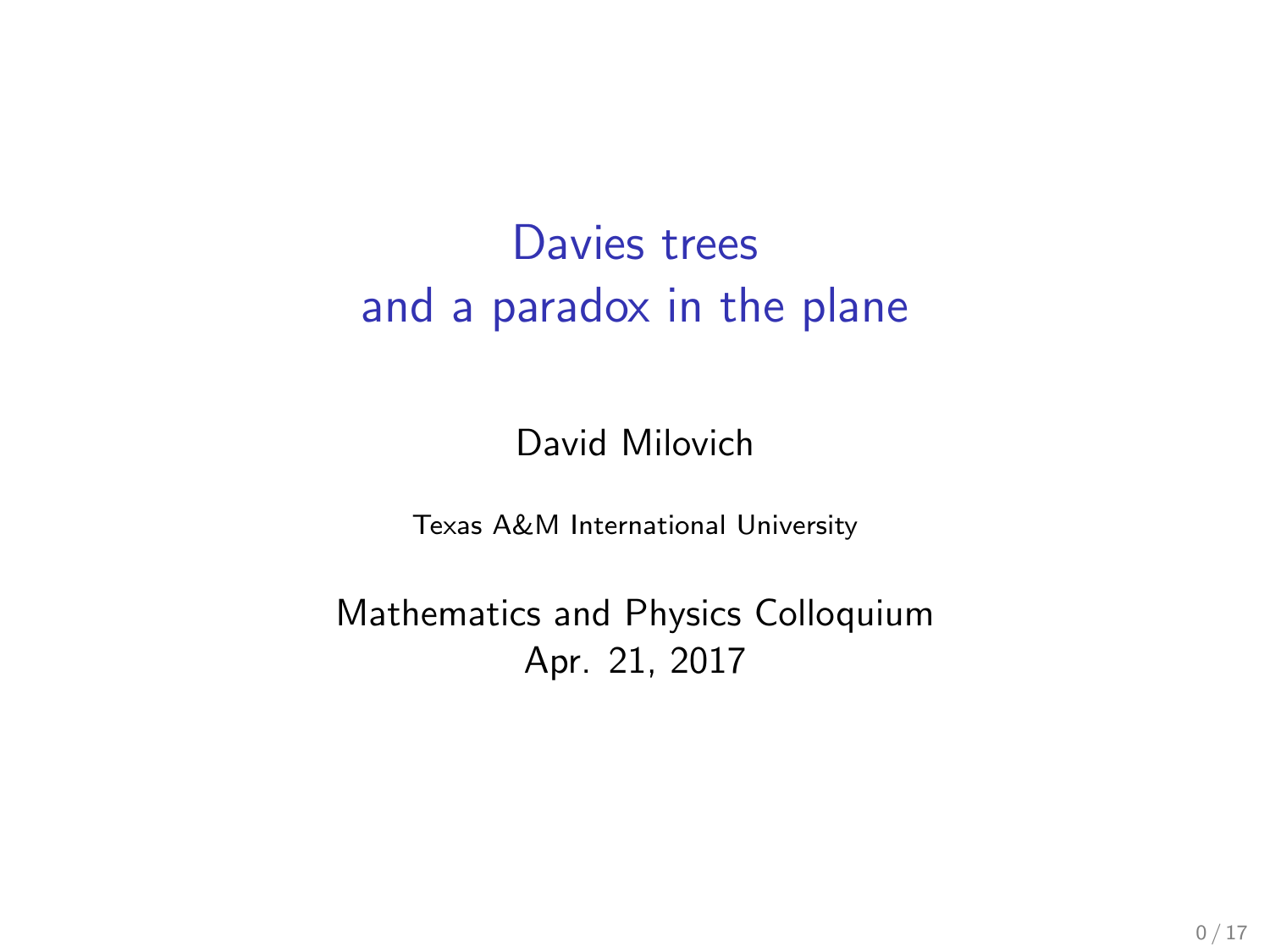# Davies trees and a paradox in the plane

David Milovich

Texas A&M International University

Mathematics and Physics Colloquium Apr. 21, 2017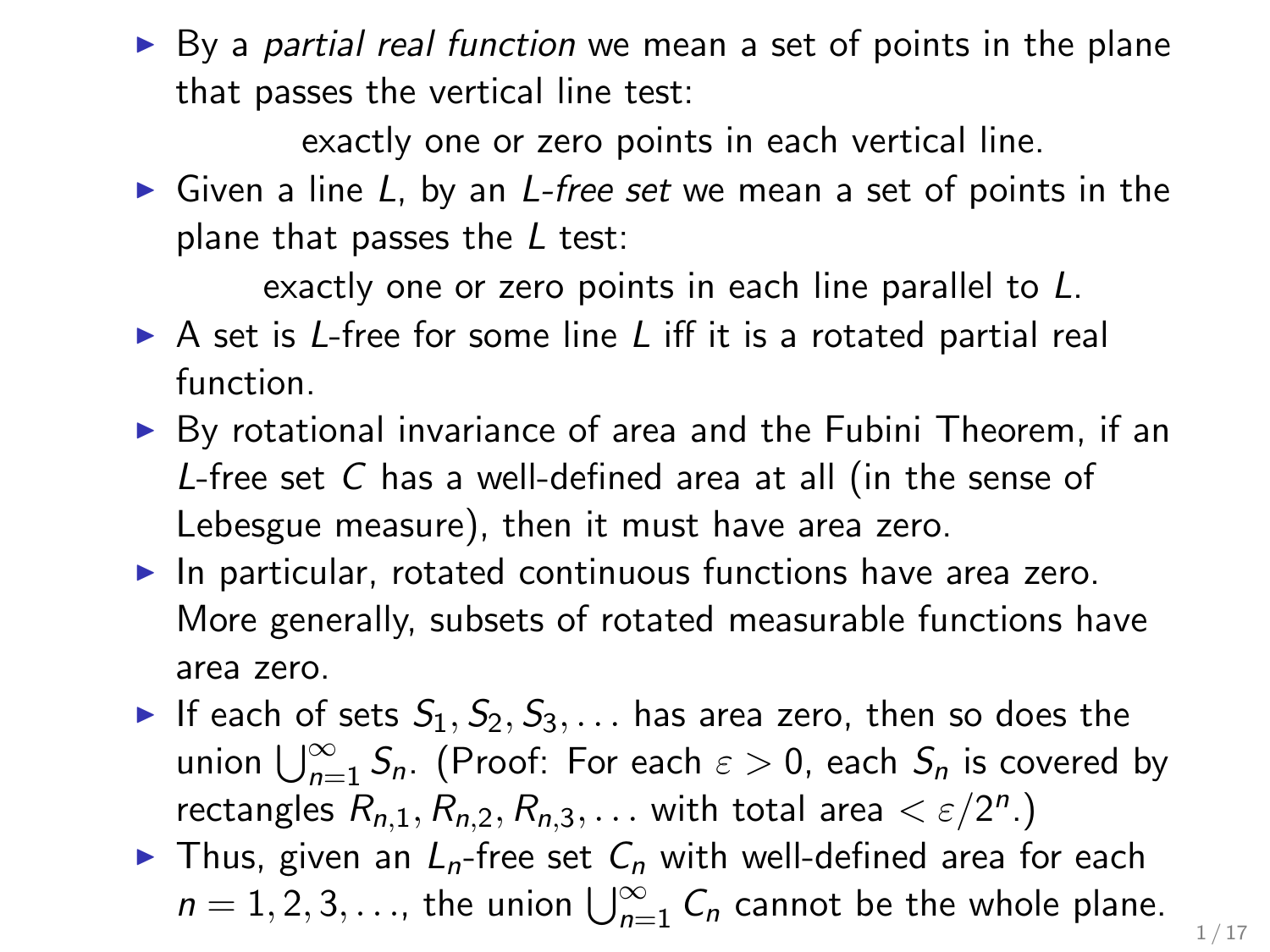$\triangleright$  By a partial real function we mean a set of points in the plane that passes the vertical line test:

exactly one or zero points in each vertical line.

 $\triangleright$  Given a line L, by an L-free set we mean a set of points in the plane that passes the  $L$  test:

exactly one or zero points in each line parallel to L.

- $\triangleright$  A set is L-free for some line L iff it is a rotated partial real function.
- $\triangleright$  By rotational invariance of area and the Fubini Theorem, if an L-free set C has a well-defined area at all (in the sense of Lebesgue measure), then it must have area zero.
- $\blacktriangleright$  In particular, rotated continuous functions have area zero. More generally, subsets of rotated measurable functions have area zero.
- If each of sets  $S_1, S_2, S_3, \ldots$  has area zero, then so does the union  $\bigcup_{n=1}^{\infty} S_n$ . (Proof: For each  $\varepsilon > 0$ , each  $S_n$  is covered by rectangles  $R_{n,1}, R_{n,2}, R_{n,3}, \ldots$  with total area  $\lt \varepsilon/2^n$ .)
- In Thus, given an  $L_n$ -free set  $C_n$  with well-defined area for each  $n = 1, 2, 3, \ldots$ , the union  $\bigcup_{n=1}^{\infty} C_n$  cannot be the whole plane.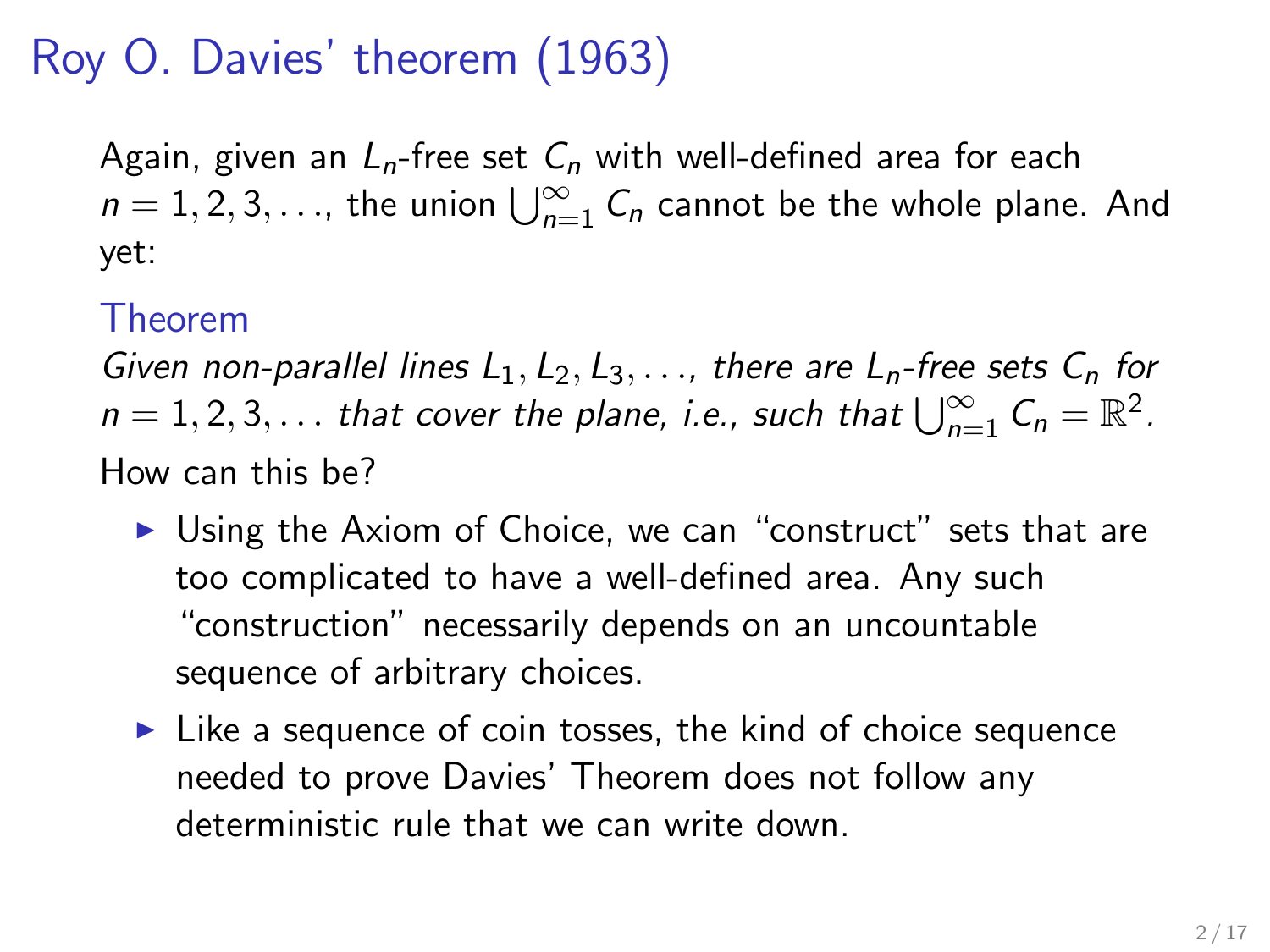# Roy O. Davies' theorem (1963)

Again, given an  $L_n$ -free set  $C_n$  with well-defined area for each  $n = 1, 2, 3, \ldots$ , the union  $\bigcup_{n=1}^{\infty} C_n$  cannot be the whole plane. And yet:

#### Theorem

Given non-parallel lines  $L_1, L_2, L_3, \ldots$ , there are  $L_n$ -free sets  $C_n$  for  $n = 1, 2, 3, \ldots$  that cover the plane, i.e., such that  $\bigcup_{n=1}^{\infty} C_n = \mathbb{R}^2$ . How can this be?

- $\triangleright$  Using the Axiom of Choice, we can "construct" sets that are too complicated to have a well-defined area. Any such "construction" necessarily depends on an uncountable sequence of arbitrary choices.
- $\blacktriangleright$  Like a sequence of coin tosses, the kind of choice sequence needed to prove Davies' Theorem does not follow any deterministic rule that we can write down.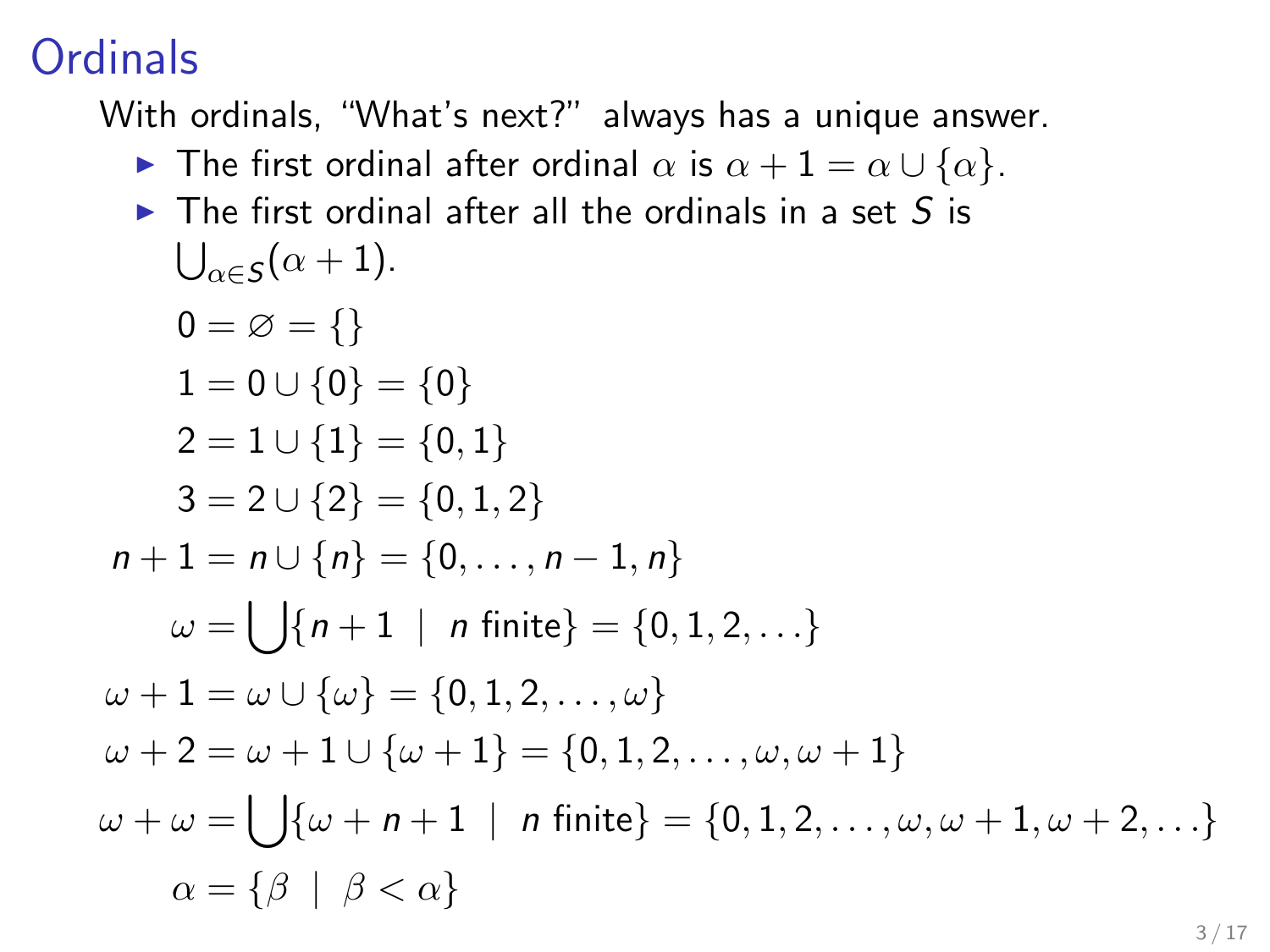# **Ordinals**

With ordinals, "What's next?" always has a unique answer.

- **►** The first ordinal after ordinal  $\alpha$  is  $\alpha + 1 = \alpha \cup {\alpha}$ .
- $\triangleright$  The first ordinal after all the ordinals in a set S is  $\bigcup_{\alpha \in \mathcal{S}} (\alpha + 1).$

$$
0 = \emptyset = \{\}
$$
  
\n
$$
1 = 0 \cup \{0\} = \{0\}
$$
  
\n
$$
2 = 1 \cup \{1\} = \{0, 1\}
$$
  
\n
$$
3 = 2 \cup \{2\} = \{0, 1, 2\}
$$
  
\n
$$
n + 1 = n \cup \{n\} = \{0, ..., n - 1, n\}
$$
  
\n
$$
\omega = \bigcup \{n + 1 \mid n \text{ finite}\} = \{0, 1, 2, ... \}
$$
  
\n
$$
\omega + 1 = \omega \cup \{\omega\} = \{0, 1, 2, ..., \omega\}
$$
  
\n
$$
\omega + 2 = \omega + 1 \cup \{\omega + 1\} = \{0, 1, 2, ..., \omega, \omega + 1\}
$$
  
\n
$$
\omega + \omega = \bigcup \{\omega + n + 1 \mid n \text{ finite}\} = \{0, 1, 2, ..., \omega, \omega + 1, \omega + 2, ... \}
$$
  
\n
$$
\alpha = \{\beta \mid \beta < \alpha\}
$$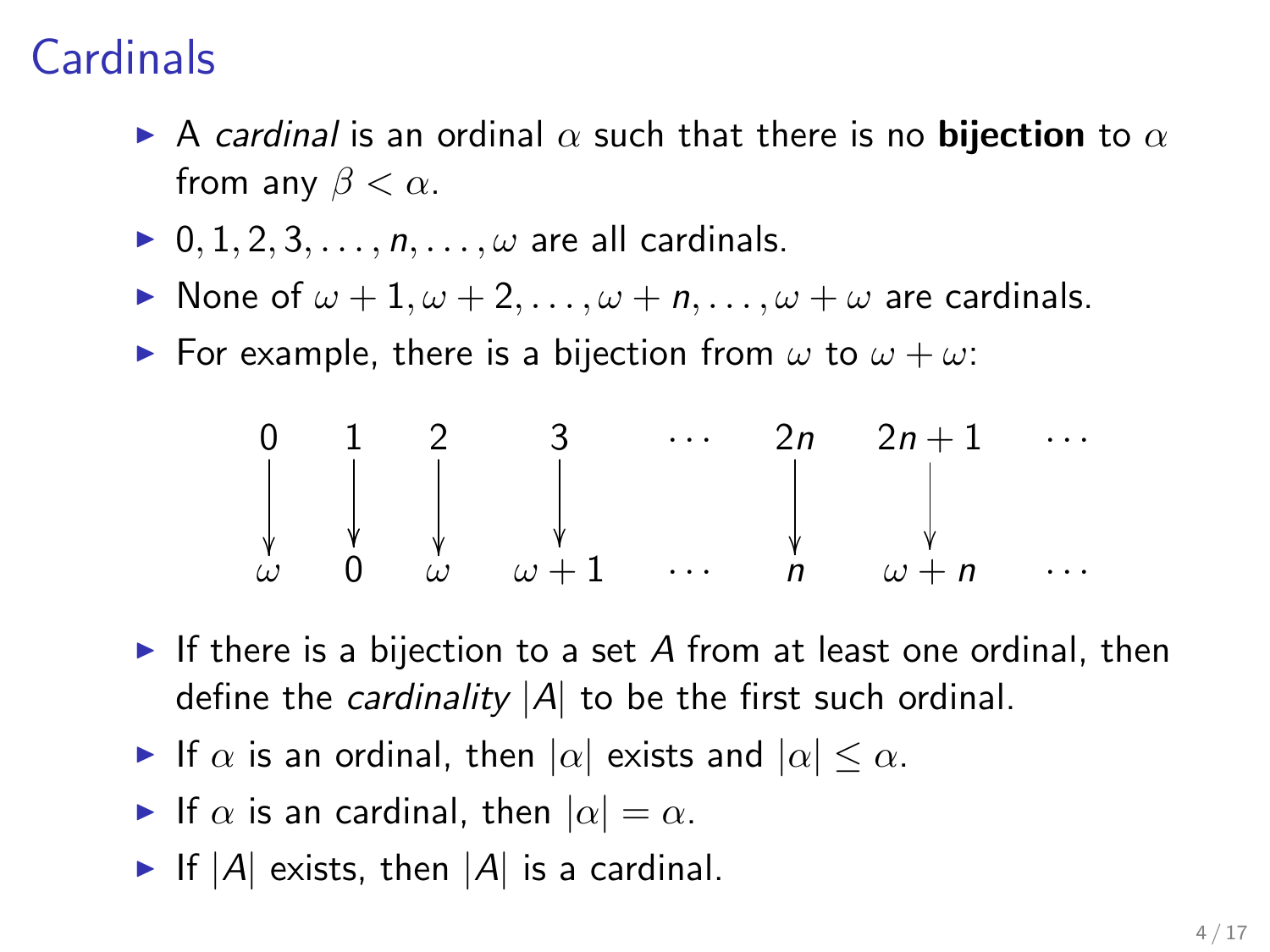# **Cardinals**

- A cardinal is an ordinal  $\alpha$  such that there is no **bijection** to  $\alpha$ from any  $\beta < \alpha$ .
- $\triangleright$  0, 1, 2, 3, ...,  $n, \ldots, \omega$  are all cardinals.
- $\triangleright$  None of  $\omega + 1, \omega + 2, \ldots, \omega + n, \ldots, \omega + \omega$  are cardinals.
- For example, there is a bijection from  $\omega$  to  $\omega + \omega$ .

$$
\begin{array}{ccccccccc}\n0 & 1 & 2 & 3 & \cdots & 2n & 2n+1 & \cdots \\
\downarrow & \downarrow & \downarrow & \downarrow & \cdots & \downarrow & \downarrow & \cdots \\
\omega & 0 & \omega & \omega+1 & \cdots & n & \omega+n & \cdots\n\end{array}
$$

- If there is a bijection to a set A from at least one ordinal, then define the *cardinality*  $|A|$  to be the first such ordinal.
- If  $\alpha$  is an ordinal, then  $|\alpha|$  exists and  $|\alpha| \leq \alpha$ .
- If  $\alpha$  is an cardinal, then  $|\alpha| = \alpha$ .
- If  $|A|$  exists, then  $|A|$  is a cardinal.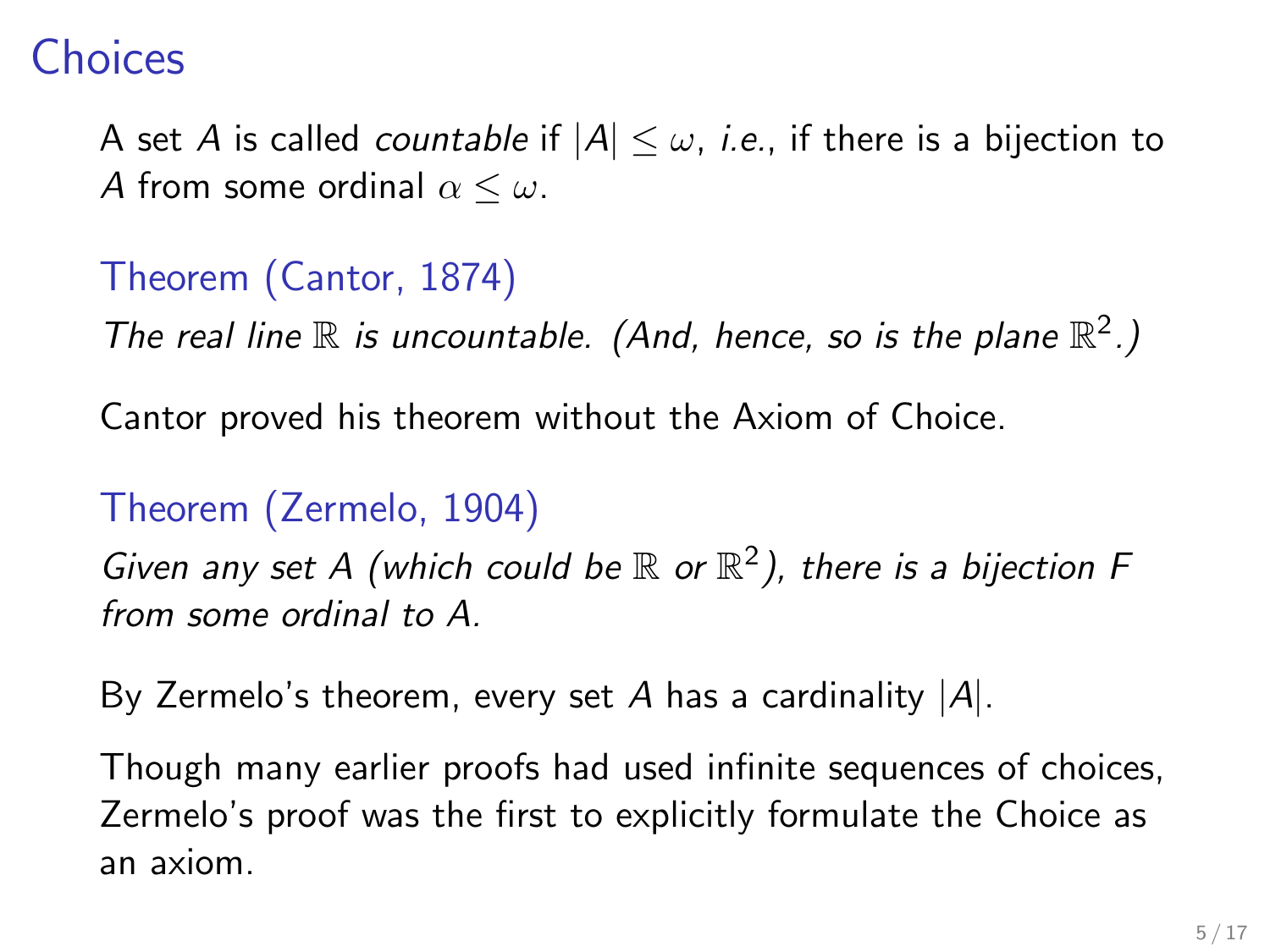#### **Choices**

A set A is called *countable* if  $|A| \leq \omega$ , *i.e.*, if there is a bijection to A from some ordinal  $\alpha \leq \omega$ .

#### Theorem (Cantor, 1874)

The real line  $\mathbb R$  is uncountable. (And, hence, so is the plane  $\mathbb R^2$ .)

Cantor proved his theorem without the Axiom of Choice.

#### Theorem (Zermelo, 1904)

Given any set A (which could be  $\mathbb R$  or  $\mathbb R^2$ ), there is a bijection F from some ordinal to A.

By Zermelo's theorem, every set A has a cardinality  $|A|$ .

Though many earlier proofs had used infinite sequences of choices, Zermelo's proof was the first to explicitly formulate the Choice as an axiom.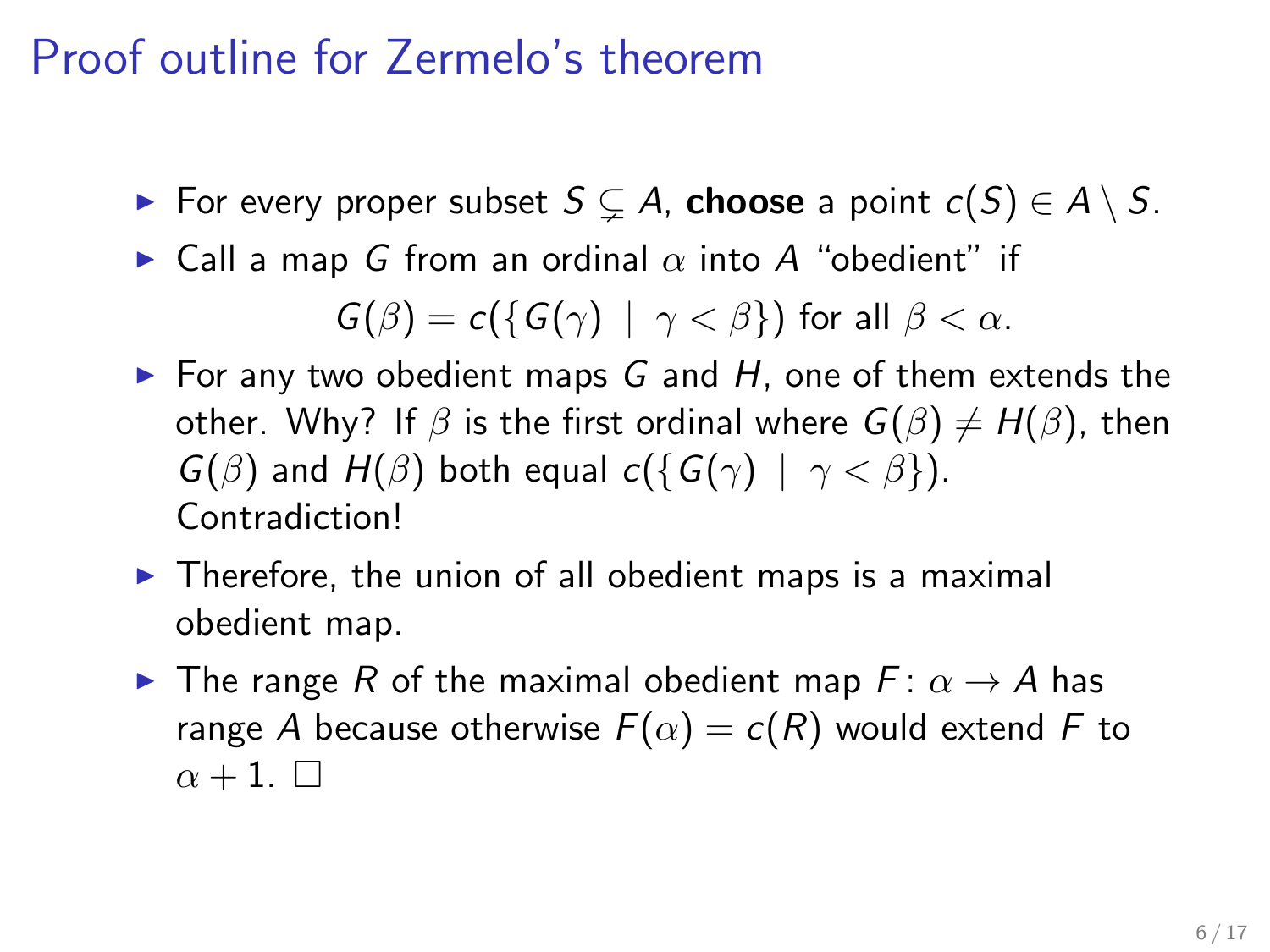# Proof outline for Zermelo's theorem

- ► For every proper subset  $S \subsetneq A$ , choose a point  $c(S) \in A \setminus S$ .
- $\blacktriangleright$  Call a map G from an ordinal  $\alpha$  into A "obedient" if

 $G(\beta) = c({G(\gamma) | \gamma < \beta})$  for all  $\beta < \alpha$ .

- For any two obedient maps  $G$  and  $H$ , one of them extends the other. Why? If  $\beta$  is the first ordinal where  $G(\beta) \neq H(\beta)$ , then  $G(\beta)$  and  $H(\beta)$  both equal  $c({G(\gamma) | \gamma < \beta})$ . Contradiction!
- $\blacktriangleright$  Therefore, the union of all obedient maps is a maximal obedient map.
- **IF** The range R of the maximal obedient map  $F: \alpha \rightarrow A$  has range A because otherwise  $F(\alpha) = c(R)$  would extend F to  $\alpha + 1$ .  $\Box$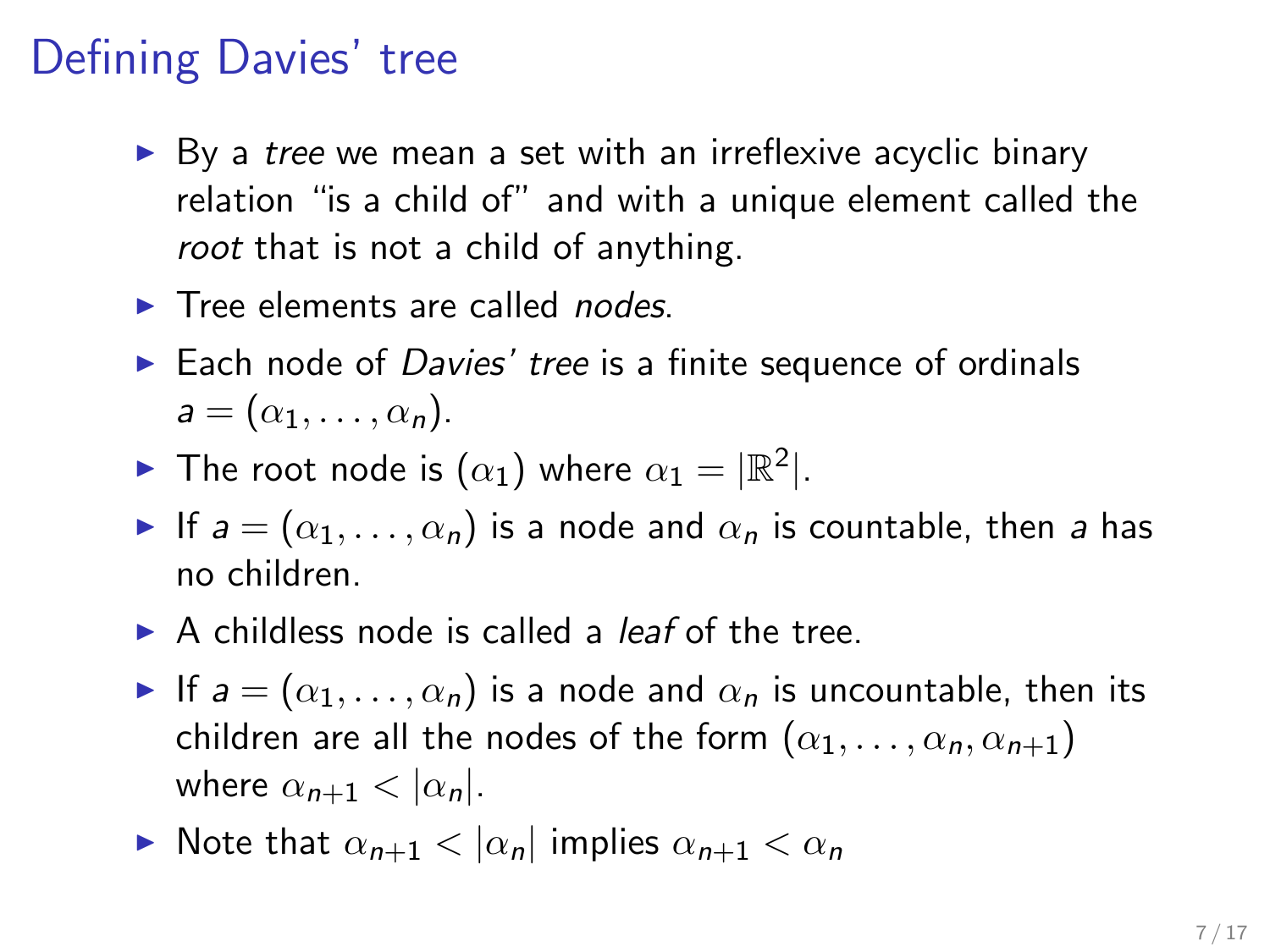# Defining Davies' tree

- $\triangleright$  By a tree we mean a set with an irreflexive acyclic binary relation "is a child of" and with a unique element called the root that is not a child of anything.
- $\blacktriangleright$  Tree elements are called *nodes*.
- $\triangleright$  Each node of *Davies' tree* is a finite sequence of ordinals  $a = (\alpha_1, \ldots, \alpha_n).$
- $\blacktriangleright$  The root node is  $(\alpha_1)$  where  $\alpha_1 = |\mathbb{R}^2|$ .
- If  $a = (\alpha_1, \dots, \alpha_n)$  is a node and  $\alpha_n$  is countable, then a has no children.
- $\triangleright$  A childless node is called a *leaf* of the tree.
- If  $a = (\alpha_1, \ldots, \alpha_n)$  is a node and  $\alpha_n$  is uncountable, then its children are all the nodes of the form  $(\alpha_1, \ldots, \alpha_n, \alpha_{n+1})$ where  $\alpha_{n+1} < |\alpha_n|$ .
- $\blacktriangleright$  Note that  $\alpha_{n+1} < |\alpha_n|$  implies  $\alpha_{n+1} < \alpha_n$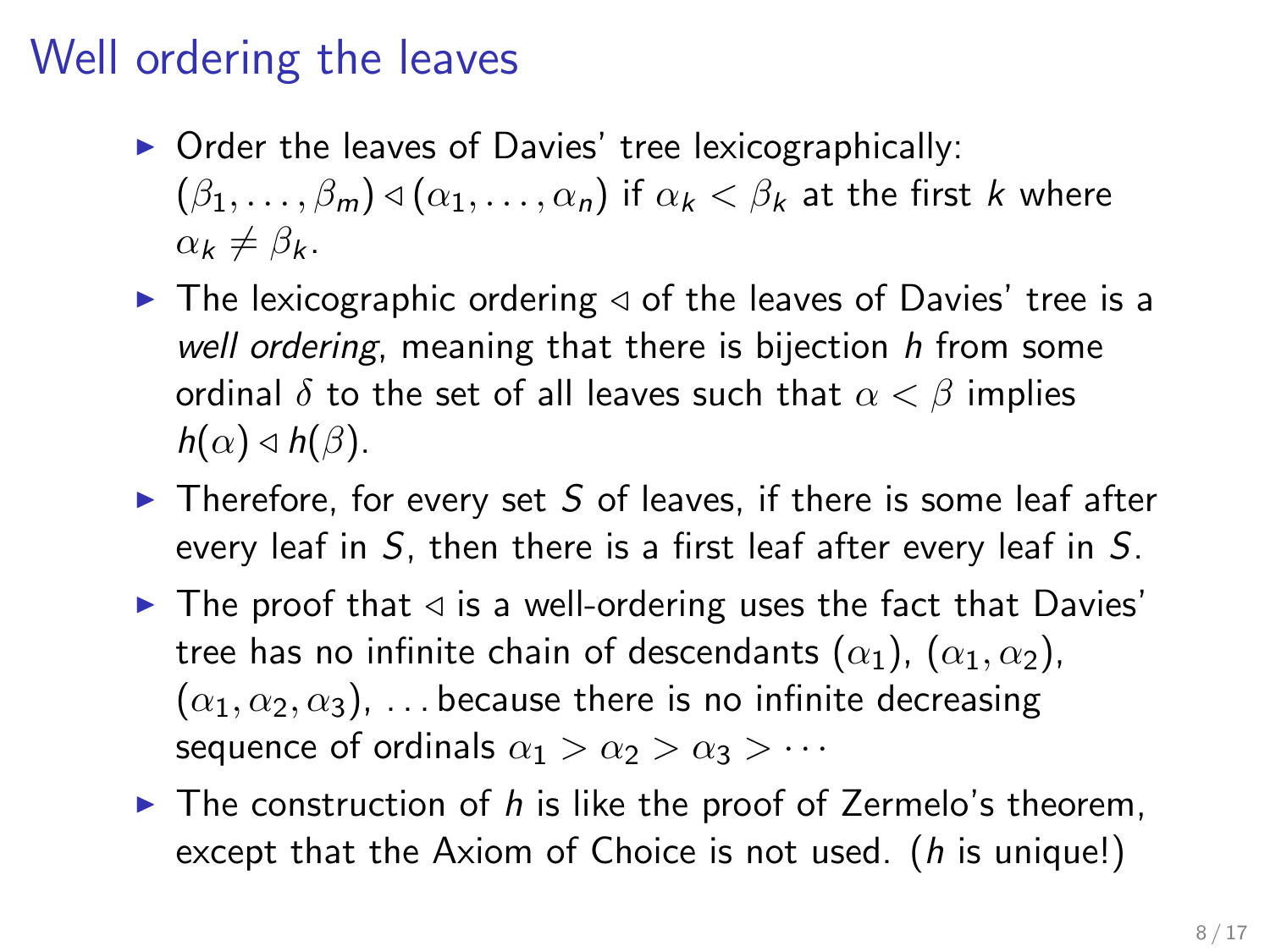# Well ordering the leaves

- $\triangleright$  Order the leaves of Davies' tree lexicographically:  $(\beta_1, \ldots, \beta_m) \triangleleft (\alpha_1, \ldots, \alpha_n)$  if  $\alpha_k < \beta_k$  at the first k where  $\alpha_k \neq \beta_k$ .
- $\blacktriangleright$  The lexicographic ordering  $\triangleleft$  of the leaves of Davies' tree is a well ordering, meaning that there is bijection h from some ordinal  $\delta$  to the set of all leaves such that  $\alpha < \beta$  implies  $h(\alpha) \triangleleft h(\beta)$ .
- $\triangleright$  Therefore, for every set S of leaves, if there is some leaf after every leaf in S, then there is a first leaf after every leaf in S.
- $\blacktriangleright$  The proof that  $\triangleleft$  is a well-ordering uses the fact that Davies' tree has no infinite chain of descendants  $(\alpha_1)$ ,  $(\alpha_1, \alpha_2)$ ,  $(\alpha_1, \alpha_2, \alpha_3), \ldots$  because there is no infinite decreasing sequence of ordinals  $\alpha_1 > \alpha_2 > \alpha_3 > \cdots$
- $\blacktriangleright$  The construction of h is like the proof of Zermelo's theorem, except that the Axiom of Choice is not used. (*h* is unique!)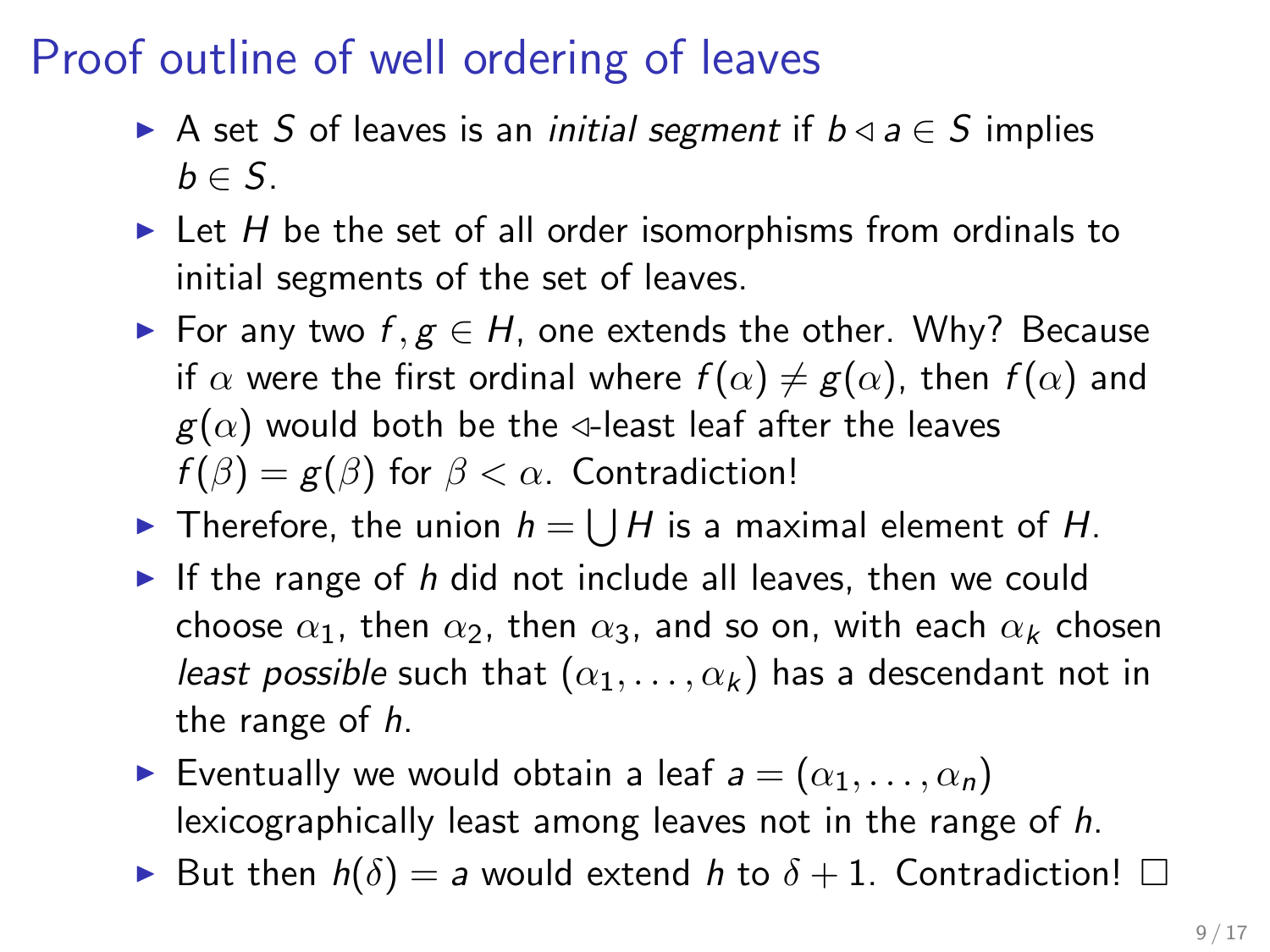# Proof outline of well ordering of leaves

- A set S of leaves is an *initial segment* if  $b \triangleleft a \in S$  implies  $b \in S$ .
- $\triangleright$  Let H be the set of all order isomorphisms from ordinals to initial segments of the set of leaves.
- ► For any two  $f, g \in H$ , one extends the other. Why? Because if  $\alpha$  were the first ordinal where  $f(\alpha) \neq g(\alpha)$ , then  $f(\alpha)$  and  $g(\alpha)$  would both be the  $\triangleleft$ -least leaf after the leaves  $f(\beta) = g(\beta)$  for  $\beta < \alpha$ . Contradiction!
- If Therefore, the union  $h = \bigcup H$  is a maximal element of H.
- If the range of h did not include all leaves, then we could choose  $\alpha_1$ , then  $\alpha_2$ , then  $\alpha_3$ , and so on, with each  $\alpha_k$  chosen least possible such that  $(\alpha_1, \ldots, \alpha_k)$  has a descendant not in the range of h.
- **E**ventually we would obtain a leaf  $a = (\alpha_1, \ldots, \alpha_n)$ lexicographically least among leaves not in the range of h.
- But then  $h(\delta) = a$  would extend h to  $\delta + 1$ . Contradiction!  $\Box$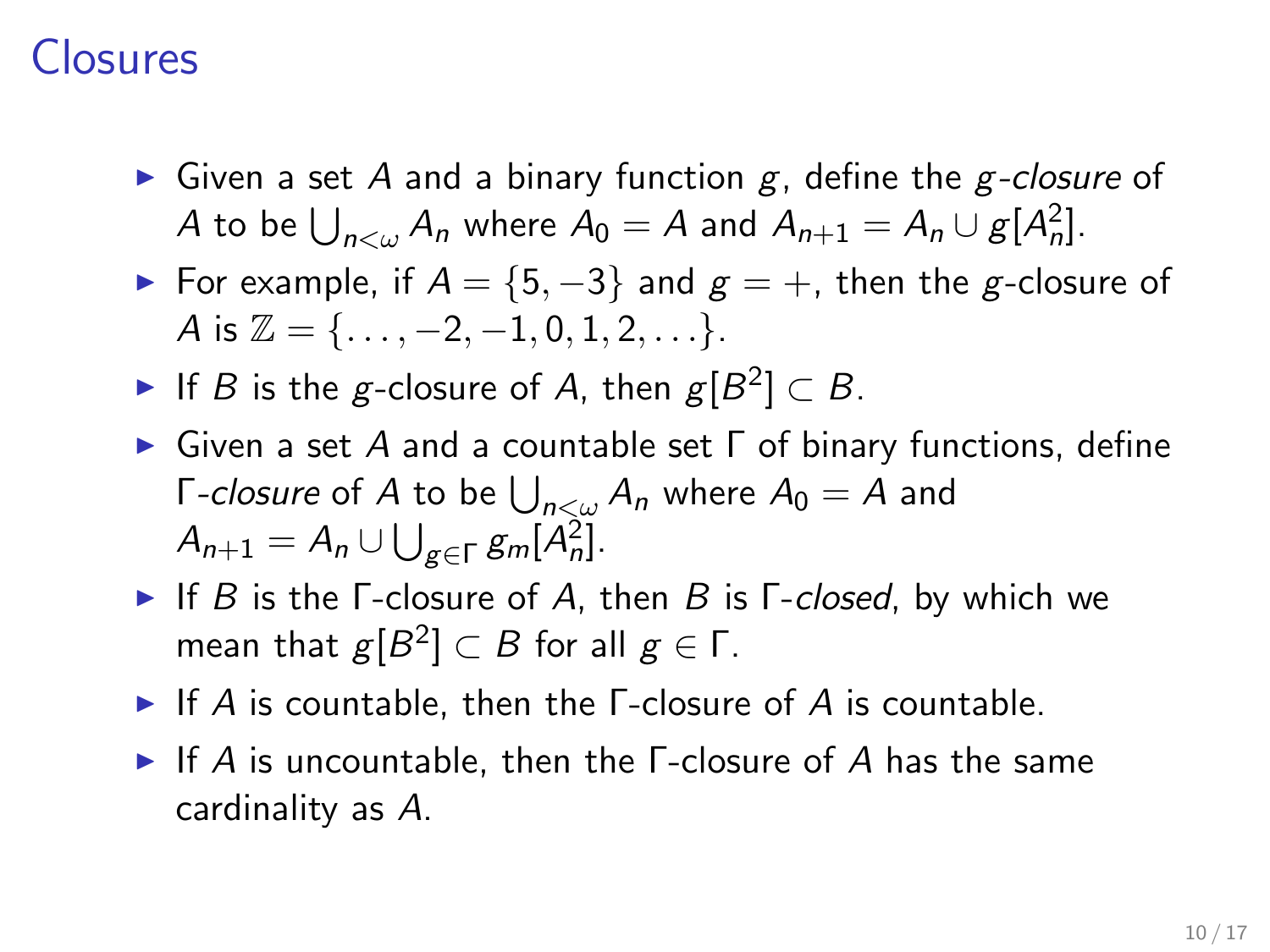### Closures

- Given a set A and a binary function  $g$ , define the  $g$ -closure of A to be  $\bigcup_{n<\omega} A_n$  where  $A_0 = A$  and  $A_{n+1} = A_n \cup g[A_n^2]$ .
- For example, if  $A = \{5, -3\}$  and  $g = +$ , then the g-closure of A is  $\mathbb{Z} = \{ \dots, -2, -1, 0, 1, 2, \dots \}.$
- If B is the g-closure of A, then  $g[B^2] \subset B$ .
- $\triangleright$  Given a set A and a countable set  $\Gamma$  of binary functions, define Γ-closure of  $A$  to be  $\bigcup_{n<\omega}A_n$  where  $A_0=A$  and  $A_{n+1} = A_n \cup \bigcup_{g \in \Gamma} g_m[A_n^2].$
- If B is the  $\Gamma$ -closure of A, then B is  $\Gamma$ -closed, by which we mean that  $g[B^2] \subset B$  for all  $g \in \mathsf{\Gamma}.$
- If A is countable, then the  $\Gamma$ -closure of A is countable.
- If A is uncountable, then the  $\Gamma$ -closure of A has the same cardinality as A.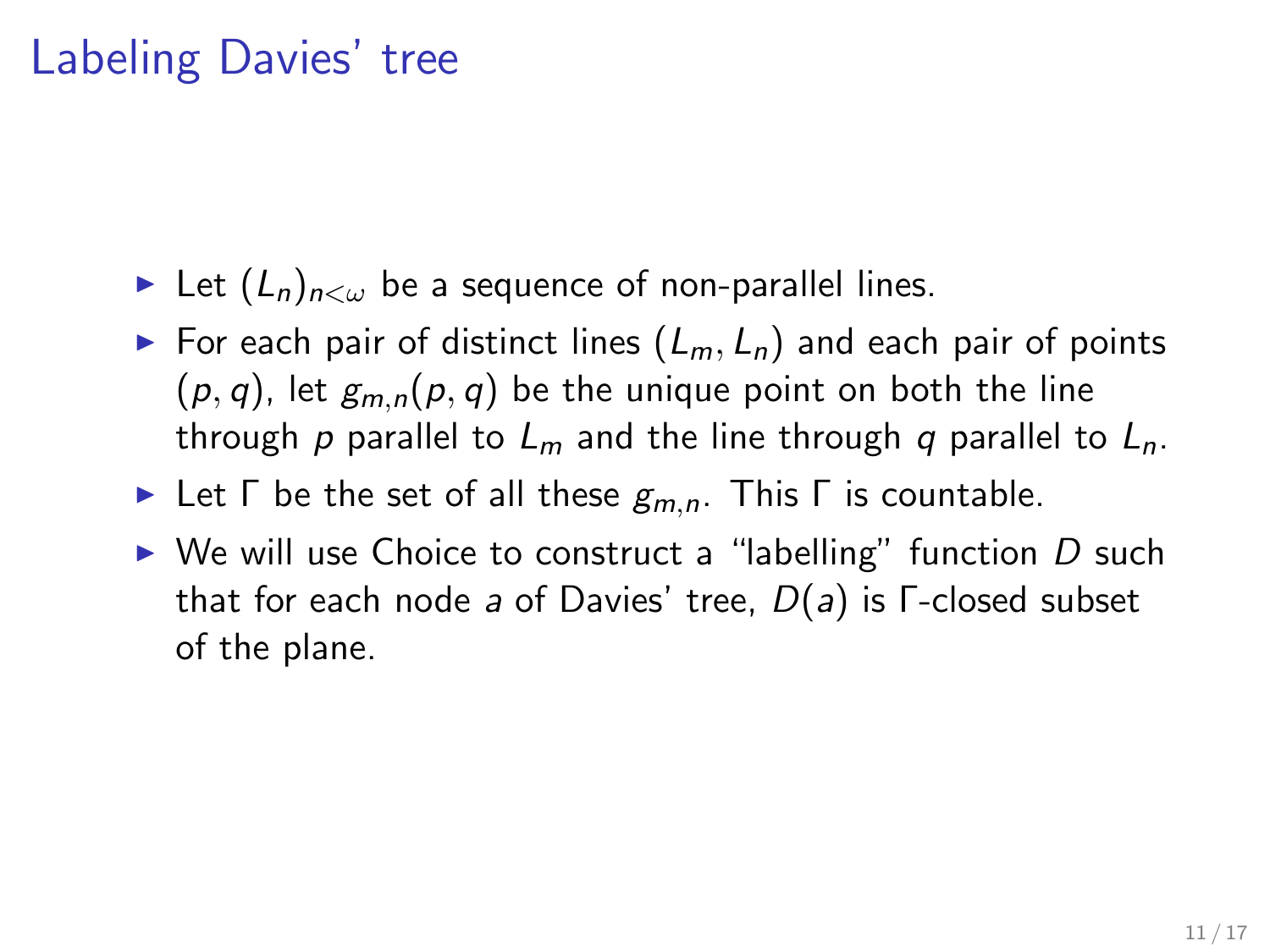### Labeling Davies' tree

- Eet  $(L_n)_{n\leq\omega}$  be a sequence of non-parallel lines.
- For each pair of distinct lines  $(L_m, L_n)$  and each pair of points  $(p, q)$ , let  $g_{m,n}(p, q)$  be the unique point on both the line through p parallel to  $L_m$  and the line through q parallel to  $L_n$ .
- **IF Let Γ** be the set of all these  $g_{m,n}$ . This Γ is countable.
- $\triangleright$  We will use Choice to construct a "labelling" function D such that for each node a of Davies' tree,  $D(a)$  is  $\Gamma$ -closed subset of the plane.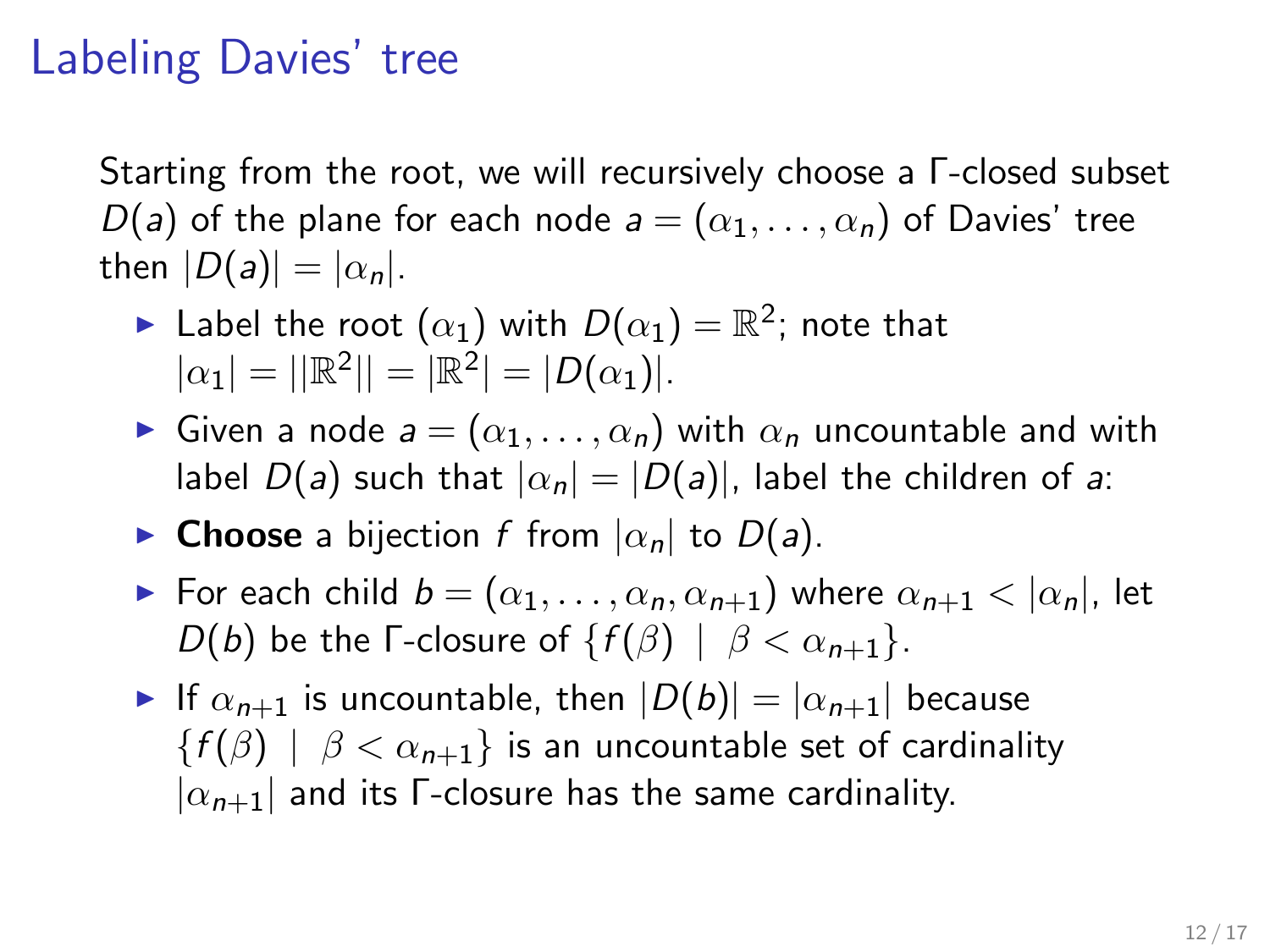### Labeling Davies' tree

Starting from the root, we will recursively choose a Γ-closed subset D(a) of the plane for each node  $a = (\alpha_1, \ldots, \alpha_n)$  of Davies' tree then  $|D(a)| = |\alpha_n|$ .

- $\blacktriangleright$  Label the root  $(\alpha_1)$  with  $D(\alpha_1) = \mathbb{R}^2;$  note that  $|\alpha_1| = ||\mathbb{R}^2|| = |\mathbb{R}^2| = |D(\alpha_1)|.$
- Given a node  $a = (\alpha_1, \ldots, \alpha_n)$  with  $\alpha_n$  uncountable and with label  $D(a)$  such that  $|\alpha_n| = |D(a)|$ , label the children of a:
- **Choose** a bijection f from  $|\alpha_n|$  to  $D(a)$ .
- For each child  $b = (\alpha_1, \ldots, \alpha_n, \alpha_{n+1})$  where  $\alpha_{n+1} < |\alpha_n|$ , let D(b) be the Γ-closure of  $\{f(\beta) \mid \beta < \alpha_{n+1}\}.$
- If  $\alpha_{n+1}$  is uncountable, then  $|D(b)| = |\alpha_{n+1}|$  because  ${f(\beta) | \beta < \alpha_{n+1}}$  is an uncountable set of cardinality  $|\alpha_{n+1}|$  and its Γ-closure has the same cardinality.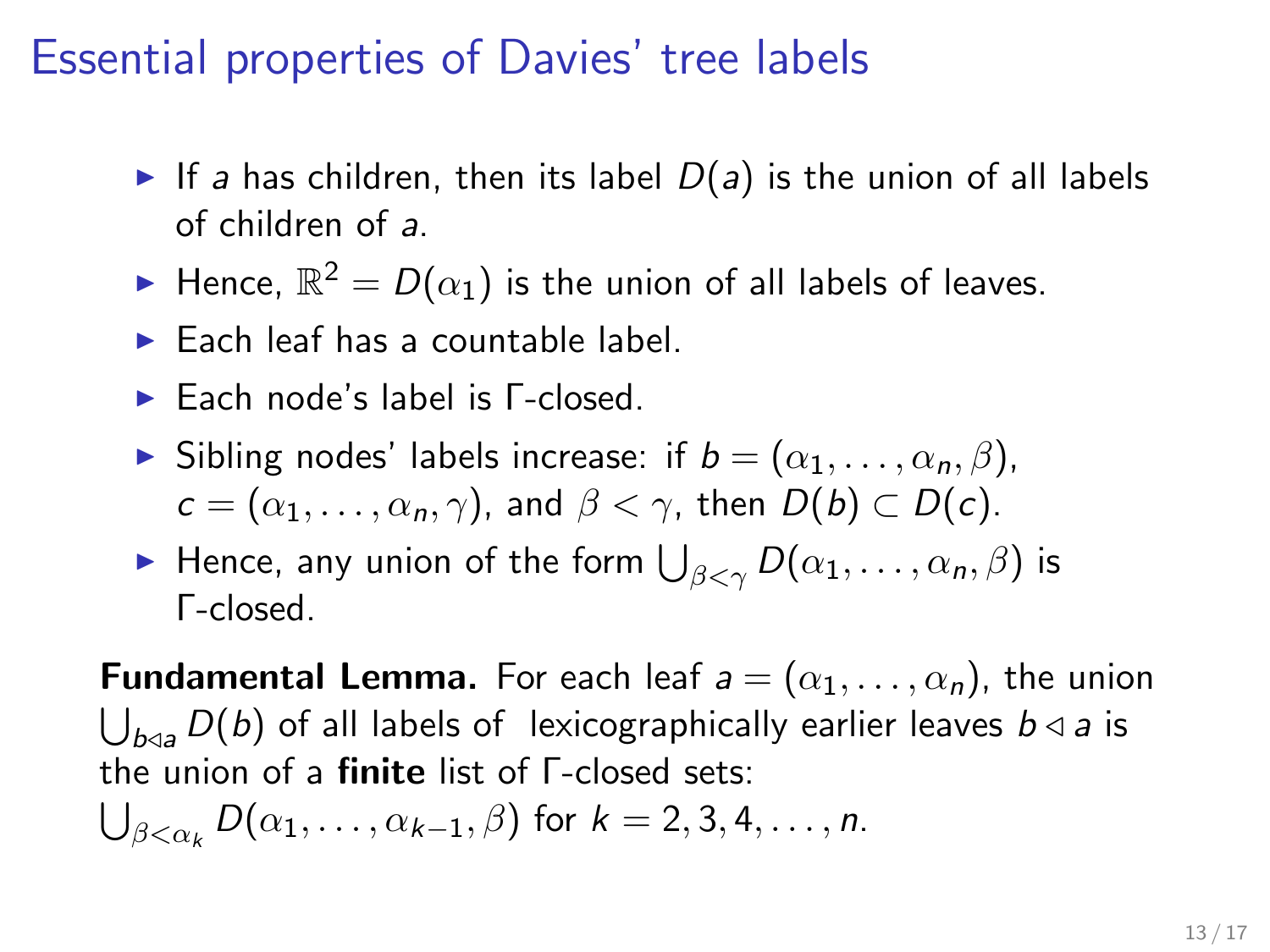### Essential properties of Davies' tree labels

- If a has children, then its label  $D(a)$  is the union of all labels of children of a.
- $\blacktriangleright$  Hence,  $\mathbb{R}^2=D(\alpha_1)$  is the union of all labels of leaves.
- $\blacktriangleright$  Each leaf has a countable label.
- **Each node's label is Γ-closed.**
- **If** Sibling nodes' labels increase: if  $b = (\alpha_1, \ldots, \alpha_n, \beta)$ ,  $c = (\alpha_1, \ldots, \alpha_n, \gamma)$ , and  $\beta < \gamma$ , then  $D(b) \subset D(c)$ .
- $\blacktriangleright$  Hence, any union of the form  $\bigcup_{\beta<\gamma}D(\alpha_1,\ldots,\alpha_n,\beta)$  is Γ-closed.

**Fundamental Lemma.** For each leaf  $a = (\alpha_1, \dots, \alpha_n)$ , the union  $\bigcup_{b\triangleleft a} D(b)$  of all labels of lexicographically earlier leaves  $b\triangleleft a$  is the union of a finite list of Γ-closed sets:

$$
\bigcup_{\beta<\alpha_k} D(\alpha_1,\ldots,\alpha_{k-1},\beta)
$$
 for  $k=2,3,4,\ldots,n$ .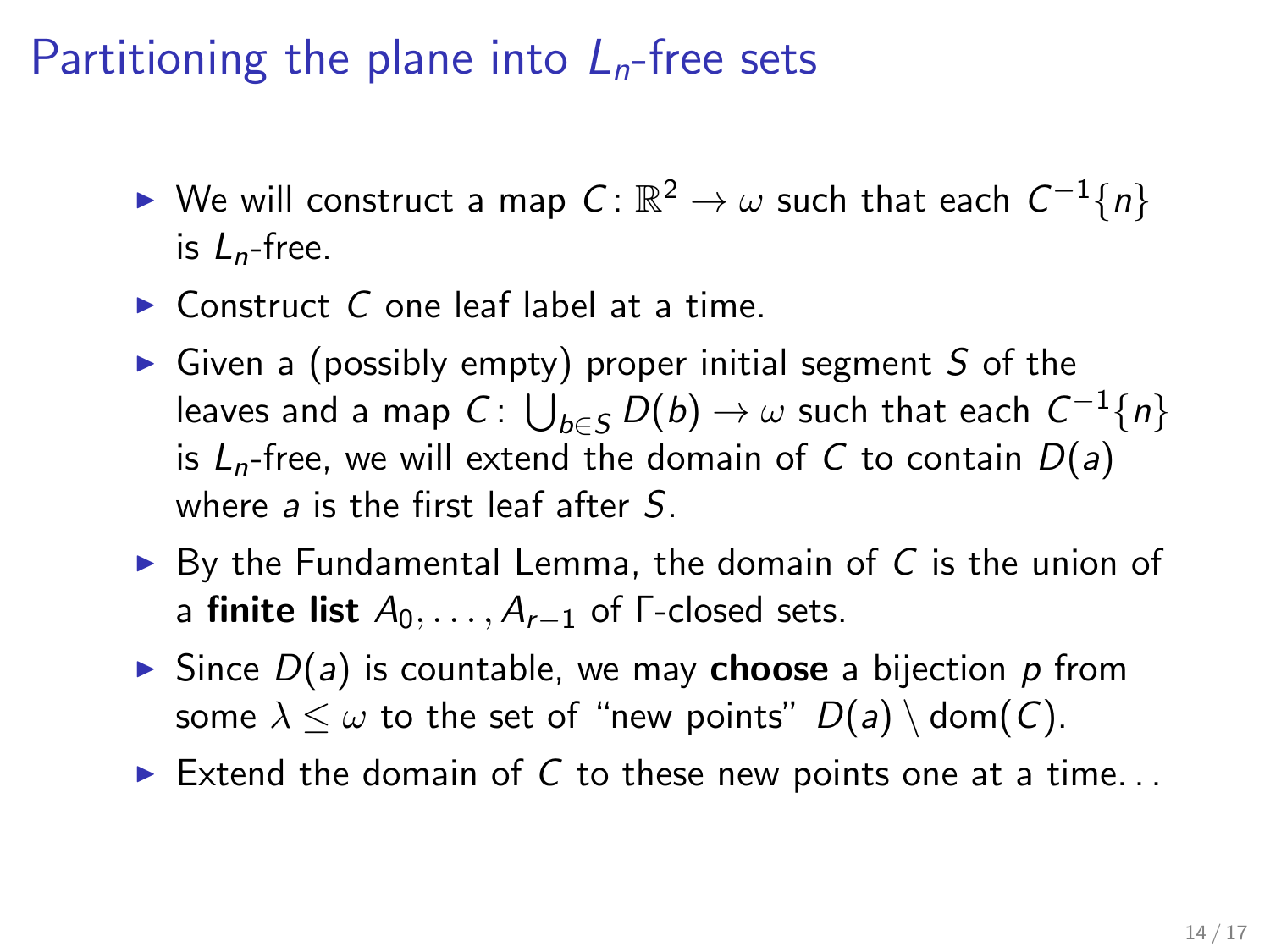# Partitioning the plane into  $L_n$ -free sets

- ► We will construct a map  $C\colon\mathbb{R}^2\to\omega$  such that each  $C^{-1}\{n\}$ is  $L_n$ -free.
- $\triangleright$  Construct C one leaf label at a time.
- $\triangleright$  Given a (possibly empty) proper initial segment S of the leaves and a map  $C\colon \bigcup_{b\in S} D(b) \to \omega$  such that each  $\mathcal{C}^{-1}\{n\}$ is  $L_n$ -free, we will extend the domain of C to contain  $D(a)$ where  $a$  is the first leaf after  $S$ .
- $\triangleright$  By the Fundamental Lemma, the domain of C is the union of a finite list  $A_0, \ldots, A_{r-1}$  of  $\Gamma$ -closed sets.
- Since  $D(a)$  is countable, we may **choose** a bijection p from some  $\lambda \leq \omega$  to the set of "new points"  $D(a) \setminus \text{dom}(C)$ .
- Extend the domain of C to these new points one at a time...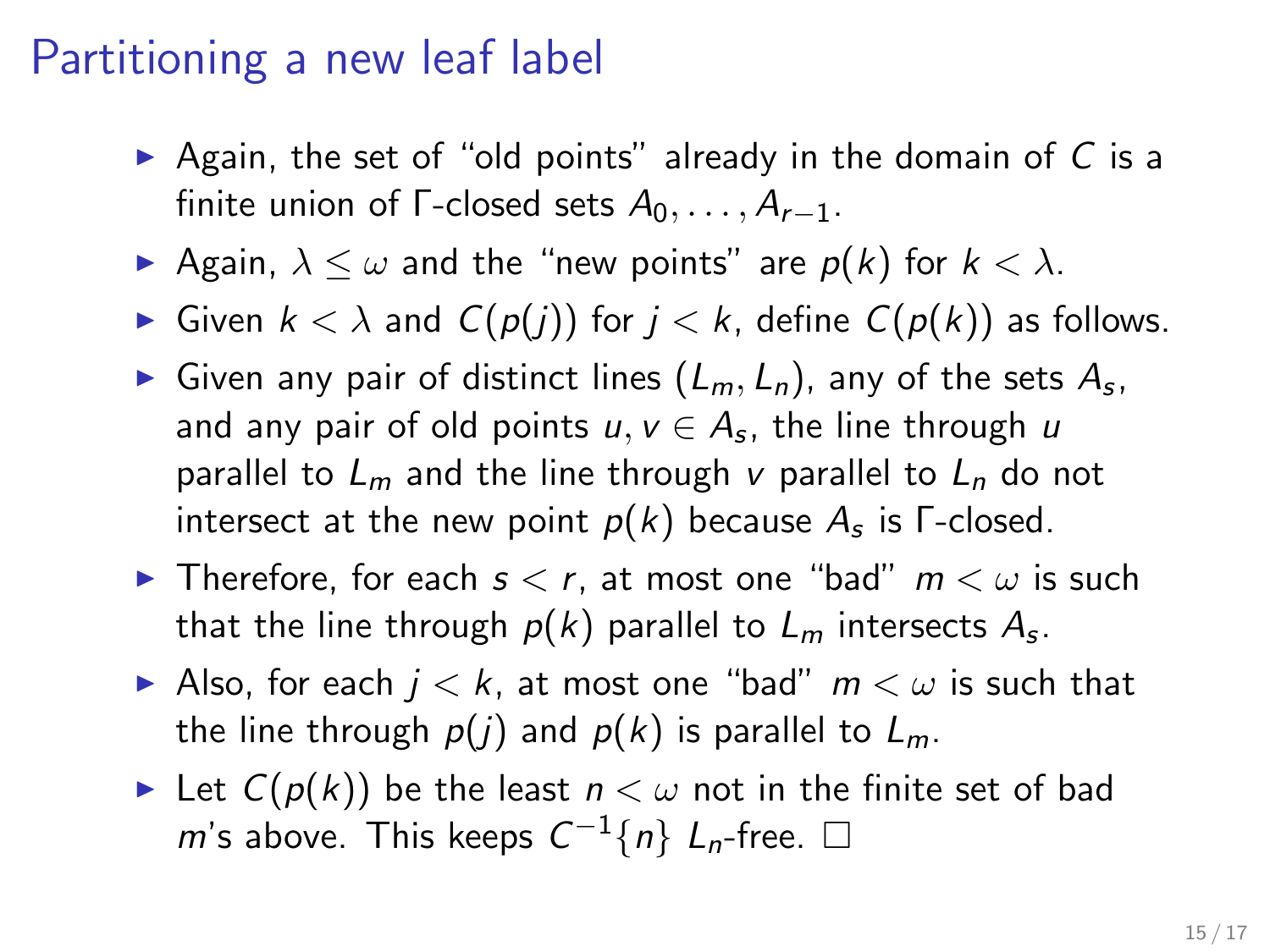### Partitioning a new leaf label

- $\triangleright$  Again, the set of "old points" already in the domain of C is a finite union of  $\Gamma$ -closed sets  $A_0, \ldots, A_{r-1}$ .
- Again,  $\lambda \leq \omega$  and the "new points" are  $p(k)$  for  $k < \lambda$ .
- ► Given  $k < \lambda$  and  $C(p(j))$  for  $j < k$ , define  $C(p(k))$  as follows.
- Given any pair of distinct lines  $(L_m, L_n)$ , any of the sets  $A_s$ , and any pair of old points  $u,v\in A_{\mathtt{s}}$ , the line through  $u$ parallel to  $L_m$  and the line through v parallel to  $L_n$  do not intersect at the new point  $p(k)$  because  $A_s$  is <code>Γ-closed.</code>
- **In** Therefore, for each  $s < r$ , at most one "bad"  $m < \omega$  is such that the line through  $\rho(k)$  parallel to  $L_m$  intersects  $A_{\varepsilon}$ .
- Also, for each  $j < k$ , at most one "bad"  $m < \omega$  is such that the line through  $p(j)$  and  $p(k)$  is parallel to  $L_m$ .
- In Let  $C(p(k))$  be the least  $n < \omega$  not in the finite set of bad m's above. This keeps  $C^{-1}\{n\}$   $L_n$ -free.  $\square$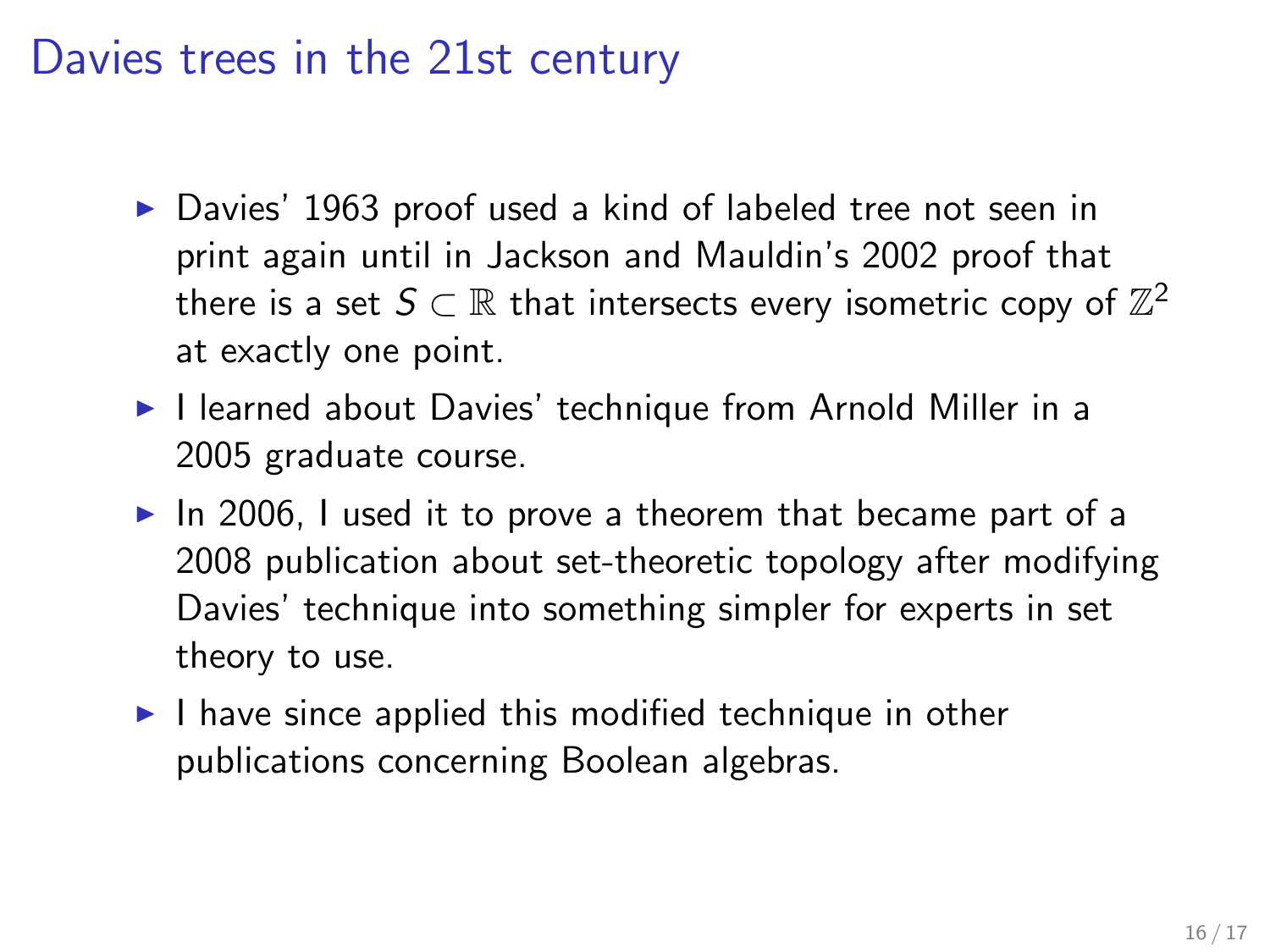#### Davies trees in the 21st century

- ▶ Davies' 1963 proof used a kind of labeled tree not seen in print again until in Jackson and Mauldin's 2002 proof that there is a set  $\mathcal{S} \subset \mathbb{R}$  that intersects every isometric copy of  $\mathbb{Z}^2$ at exactly one point.
- ▶ I learned about Davies' technique from Arnold Miller in a 2005 graduate course.
- $\blacktriangleright$  In 2006, I used it to prove a theorem that became part of a 2008 publication about set-theoretic topology after modifying Davies' technique into something simpler for experts in set theory to use.
- $\blacktriangleright$  I have since applied this modified technique in other publications concerning Boolean algebras.